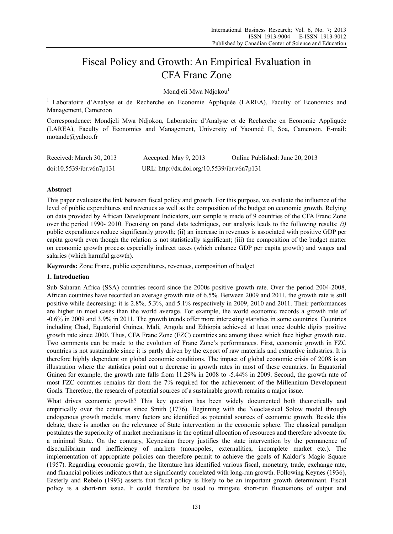# Fiscal Policy and Growth: An Empirical Evaluation in CFA Franc Zone

Mondjeli Mwa Ndjokou<sup>1</sup>

<sup>1</sup> Laboratoire d'Analyse et de Recherche en Economie Appliquée (LAREA), Faculty of Economics and Management, Cameroon

Correspondence: Mondjeli Mwa Ndjokou, Laboratoire d'Analyse et de Recherche en Economie Appliquée (LAREA), Faculty of Economics and Management, University of Yaoundé II, Soa, Cameroon. E-mail: motande@yahoo.fr

| Received: March 30, 2013 | Accepted: May $9, 2013$                     | Online Published: June 20, 2013 |
|--------------------------|---------------------------------------------|---------------------------------|
| doi:10.5539/ibr.v6n7p131 | URL: http://dx.doi.org/10.5539/ibr.v6n7p131 |                                 |

# **Abstract**

This paper evaluates the link between fiscal policy and growth. For this purpose, we evaluate the influence of the level of public expenditures and revenues as well as the composition of the budget on economic growth. Relying on data provided by African Development Indicators, our sample is made of 9 countries of the CFA Franc Zone over the period 1990- 2010. Focusing on panel data techniques, our analysis leads to the following results: *(i)* public expenditures reduce significantly growth; (ii) an increase in revenues is associated with positive GDP per capita growth even though the relation is not statistically significant; (iii) the composition of the budget matter on economic growth process especially indirect taxes (which enhance GDP per capita growth) and wages and salaries (which harmful growth).

**Keywords:** Zone Franc, public expenditures, revenues, composition of budget

# **1. Introduction**

Sub Saharan Africa (SSA) countries record since the 2000s positive growth rate. Over the period 2004-2008, African countries have recorded an average growth rate of 6.5%. Between 2009 and 2011, the growth rate is still positive while decreasing: it is 2.8%, 5.3%, and 5.1% respectively in 2009, 2010 and 2011. Their performances are higher in most cases than the world average. For example, the world economic records a growth rate of -0.6% in 2009 and 3.9% in 2011. The growth trends offer more interesting statistics in some countries. Countries including Chad, Equatorial Guinea, Mali, Angola and Ethiopia achieved at least once double digits positive growth rate since 2000. Thus, CFA Franc Zone (FZC) countries are among those which face higher growth rate. Two comments can be made to the evolution of Franc Zone's performances. First, economic growth in FZC countries is not sustainable since it is partly driven by the export of raw materials and extractive industries. It is therefore highly dependent on global economic conditions. The impact of global economic crisis of 2008 is an illustration where the statistics point out a decrease in growth rates in most of these countries. In Equatorial Guinea for example, the growth rate falls from 11.29% in 2008 to -5.44% in 2009. Second, the growth rate of most FZC countries remains far from the 7% required for the achievement of the Millennium Development Goals. Therefore, the research of potential sources of a sustainable growth remains a major issue.

What drives economic growth? This key question has been widely documented both theoretically and empirically over the centuries since Smith (1776). Beginning with the Neoclassical Solow model through endogenous growth models, many factors are identified as potential sources of economic growth. Beside this debate, there is another on the relevance of State intervention in the economic sphere. The classical paradigm postulates the superiority of market mechanisms in the optimal allocation of resources and therefore advocate for a minimal State. On the contrary, Keynesian theory justifies the state intervention by the permanence of disequilibrium and inefficiency of markets (monopoles, externalities, incomplete market etc.). The implementation of appropriate policies can therefore permit to achieve the goals of Kaldor's Magic Square (1957). Regarding economic growth, the literature has identified various fiscal, monetary, trade, exchange rate, and financial policies indicators that are significantly correlated with long-run growth. Following Keynes (1936), Easterly and Rebelo (1993) asserts that fiscal policy is likely to be an important growth determinant. Fiscal policy is a short-run issue. It could therefore be used to mitigate short-run fluctuations of output and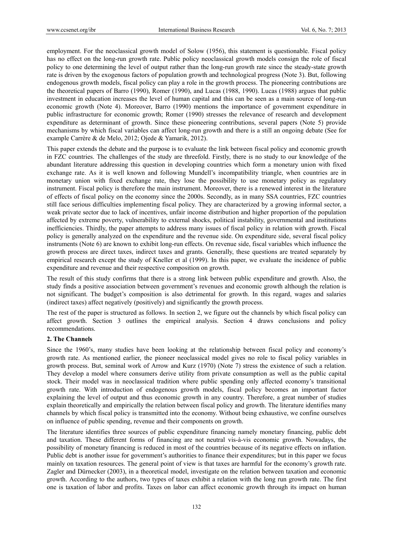employment. For the neoclassical growth model of Solow (1956), this statement is questionable. Fiscal policy has no effect on the long-run growth rate. Public policy neoclassical growth models consign the role of fiscal policy to one determining the level of output rather than the long-run growth rate since the steady-state growth rate is driven by the exogenous factors of population growth and technological progress (Note 3). But, following endogenous growth models, fiscal policy can play a role in the growth process. The pioneering contributions are the theoretical papers of Barro (1990), Romer (1990), and Lucas (1988, 1990). Lucas (1988) argues that public investment in education increases the level of human capital and this can be seen as a main source of long-run economic growth (Note 4). Moreover, Barro (1990) mentions the importance of government expenditure in public infrastructure for economic growth; Romer (1990) stresses the relevance of research and development expenditure as determinant of growth. Since these pioneering contributions, several papers (Note 5) provide mechanisms by which fiscal variables can affect long-run growth and there is a still an ongoing debate (See for example Carrère & de Melo, 2012; Ojede & Yamarik, 2012).

This paper extends the debate and the purpose is to evaluate the link between fiscal policy and economic growth in FZC countries. The challenges of the study are threefold. Firstly, there is no study to our knowledge of the abundant literature addressing this question in developing countries which form a monetary union with fixed exchange rate. As it is well known and following Mundell's incompatibility triangle, when countries are in monetary union with fixed exchange rate, they lose the possibility to use monetary policy as regulatory instrument. Fiscal policy is therefore the main instrument. Moreover, there is a renewed interest in the literature of effects of fiscal policy on the economy since the 2000s. Secondly, as in many SSA countries, FZC countries still face serious difficulties implementing fiscal policy. They are characterized by a growing informal sector, a weak private sector due to lack of incentives, unfair income distribution and higher proportion of the population affected by extreme poverty, vulnerability to external shocks, political instability, governmental and institutions inefficiencies. Thirdly, the paper attempts to address many issues of fiscal policy in relation with growth. Fiscal policy is generally analyzed on the expenditure and the revenue side. On expenditure side, several fiscal policy instruments (Note 6) are known to exhibit long-run effects. On revenue side, fiscal variables which influence the growth process are direct taxes, indirect taxes and grants. Generally, these questions are treated separately by empirical research except the study of Kneller et al (1999). In this paper, we evaluate the incidence of public expenditure and revenue and their respective composition on growth.

The result of this study confirms that there is a strong link between public expenditure and growth. Also, the study finds a positive association between government's revenues and economic growth although the relation is not significant. The budget's composition is also detrimental for growth. In this regard, wages and salaries (indirect taxes) affect negatively (positively) and significantly the growth process.

The rest of the paper is structured as follows. In section 2, we figure out the channels by which fiscal policy can affect growth. Section 3 outlines the empirical analysis. Section 4 draws conclusions and policy recommendations.

# **2. The Channels**

Since the 1960's, many studies have been looking at the relationship between fiscal policy and economy's growth rate. As mentioned earlier, the pioneer neoclassical model gives no role to fiscal policy variables in growth process. But, seminal work of Arrow and Kurz (1970) (Note 7) stress the existence of such a relation. They develop a model where consumers derive utility from private consumption as well as the public capital stock. Their model was in neoclassical tradition where public spending only affected economy's transitional growth rate. With introduction of endogenous growth models, fiscal policy becomes an important factor explaining the level of output and thus economic growth in any country. Therefore, a great number of studies explain theoretically and empirically the relation between fiscal policy and growth. The literature identifies many channels by which fiscal policy is transmitted into the economy. Without being exhaustive, we confine ourselves on influence of public spending, revenue and their components on growth.

The literature identifies three sources of public expenditure financing namely monetary financing, public debt and taxation. These different forms of financing are not neutral vis-à-vis economic growth. Nowadays, the possibility of monetary financing is reduced in most of the countries because of its negative effects on inflation. Public debt is another issue for government's authorities to finance their expenditures; but in this paper we focus mainly on taxation resources. The general point of view is that taxes are harmful for the economy's growth rate. Zagler and Dürnecker (2003), in a theoretical model, investigate on the relation between taxation and economic growth. According to the authors, two types of taxes exhibit a relation with the long run growth rate. The first one is taxation of labor and profits. Taxes on labor can affect economic growth through its impact on human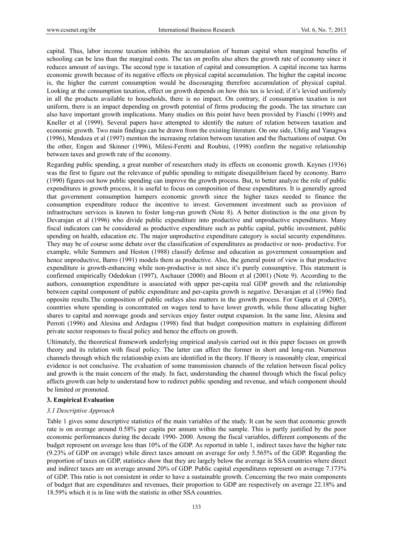capital. Thus, labor income taxation inhibits the accumulation of human capital when marginal benefits of schooling can be less than the marginal costs. The tax on profits also alters the growth rate of economy since it reduces amount of savings. The second type is taxation of capital and consumption. A capital income tax harms economic growth because of its negative effects on physical capital accumulation. The higher the capital income is, the higher the current consumption would be discouraging therefore accumulation of physical capital. Looking at the consumption taxation, effect on growth depends on how this tax is levied; if it's levied uniformly in all the products available to households, there is no impact. On contrary, if consumption taxation is not uniform, there is an impact depending on growth potential of firms producing the goods. The tax structure can also have important growth implications. Many studies on this point have been provided by Fiaschi (1999) and Kneller et al (1999). Several papers have attempted to identify the nature of relation between taxation and economic growth. Two main findings can be drawn from the existing literature. On one side, Uhlig and Yanagwa (1996), Mendoza et al (1997) mention the increasing relation between taxation and the fluctuations of output. On the other, Engen and Skinner (1996), Milesi-Feretti and Roubini, (1998) confirm the negative relationship between taxes and growth rate of the economy.

Regarding public spending, a great number of researchers study its effects on economic growth. Keynes (1936) was the first to figure out the relevance of public spending to mitigate disequilibrium faced by economy. Barro (1990) figures out how public spending can improve the growth process. But, to better analyze the role of public expenditures in growth process, it is useful to focus on composition of these expenditures. It is generally agreed that government consumption hampers economic growth since the higher taxes needed to finance the consumption expenditure reduce the incentive to invest. Government investment such as provision of infrastructure services is known to foster long-run growth (Note 8). A better distinction is the one given by Devarajan et al (1996) who divide public expenditure into productive and unproductive expenditures. Many fiscal indicators can be considered as productive expenditure such as public capital, public investment, public spending on health, education etc. The major unproductive expenditure category is social security expenditures. They may be of course some debate over the classification of expenditures as productive or non- productive. For example, while Summers and Heston (1988) classify defense and education as government consumption and hence unproductive, Barro (1991) models them as productive. Also, the general point of view is that productive expenditure is growth-enhancing while non-productive is not since it's purely consumptive. This statement is confirmed empirically Odedokun (1997), Aschauer (2000) and Bloom et al (2001) (Note 9). According to the authors, consumption expenditure is associated with upper per-capita real GDP growth and the relationship between capital component of public expenditure and per-capita growth is negative. Devarajan et al (1996) find opposite results.The composition of public outlays also matters in the growth process. For Gupta et al (2005), countries where spending is concentrated on wages tend to have lower growth, while those allocating higher shares to capital and nonwage goods and services enjoy faster output expansion. In the same line, Alesina and Perroti (1996) and Alesina and Ardagna (1998) find that budget composition matters in explaining different private sector responses to fiscal policy and hence the effects on growth.

Ultimately, the theoretical framework underlying empirical analysis carried out in this paper focuses on growth theory and its relation with fiscal policy. The latter can affect the former in short and long-run. Numerous channels through which the relationship exists are identified in the theory. If theory is reasonably clear, empirical evidence is not conclusive. The evaluation of some transmission channels of the relation between fiscal policy and growth is the main concern of the study. In fact, understanding the channel through which the fiscal policy affects growth can help to understand how to redirect public spending and revenue, and which component should be limited or promoted.

# **3. Empirical Evaluation**

# *3.1 Descriptive Approach*

Table 1 gives some descriptive statistics of the main variables of the study. It can be seen that economic growth rate is on average around 0.58% per capita per annum within the sample. This is partly justified by the poor economic performances during the decade 1990- 2000. Among the fiscal variables, different components of the budget represent on average less than 10% of the GDP. As reported in table 1, indirect taxes have the higher rate (9.23% of GDP on average) while direct taxes amount on average for only 5.565% of the GDP. Regarding the proportion of taxes on GDP, statistics show that they are largely below the average in SSA countries where direct and indirect taxes are on average around 20% of GDP. Public capital expenditures represent on average 7.173% of GDP. This ratio is not consistent in order to have a sustainable growth. Concerning the two main components of budget that are expenditures and revenues, their proportion to GDP are respectively on average 22.18% and 18.59% which it is in line with the statistic in other SSA countries.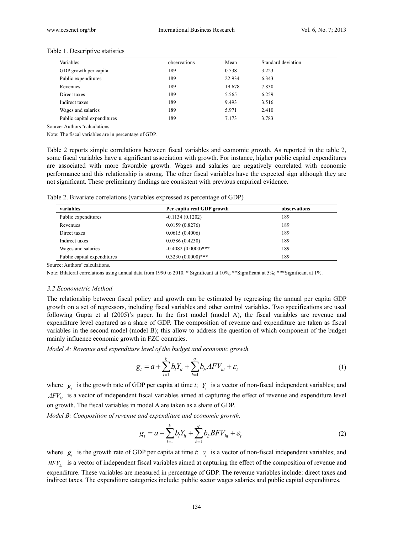| Variables                   | observations | Mean   | Standard deviation |
|-----------------------------|--------------|--------|--------------------|
| GDP growth per capita       | 189          | 0.538  | 3.223              |
| Public expenditures         | 189          | 22.934 | 6.343              |
| Revenues                    | 189          | 19.678 | 7.830              |
| Direct taxes                | 189          | 5.565  | 6.259              |
| Indirect taxes              | 189          | 9.493  | 3.516              |
| Wages and salaries          | 189          | 5.971  | 2.410              |
| Public capital expenditures | 189          | 7.173  | 3.783              |

#### Table 1. Descriptive statistics

Source: Authors 'calculations.

Note: The fiscal variables are in percentage of GDP.

Table 2 reports simple correlations between fiscal variables and economic growth. As reported in the table 2, some fiscal variables have a significant association with growth. For instance, higher public capital expenditures are associated with more favorable growth. Wages and salaries are negatively correlated with economic performance and this relationship is strong. The other fiscal variables have the expected sign although they are not significant. These preliminary findings are consistent with previous empirical evidence.

Table 2. Bivariate correlations (variables expressed as percentage of GDP)

| variables                   | Per capita real GDP growth | observations |
|-----------------------------|----------------------------|--------------|
| Public expenditures         | $-0.1134(0.1202)$          | 189          |
| Revenues                    | 0.0159(0.8276)             | 189          |
| Direct taxes                | 0.0615(0.4006)             | 189          |
| Indirect taxes              | 0.0586(0.4230)             | 189          |
| Wages and salaries          | $-0.4082(0.0000)***$       | 189          |
| Public capital expenditures | $0.3230(0.0000)***$        | 189          |

Source: Authors' calculations.

Note: Bilateral correlations using annual data from 1990 to 2010. \* Significant at 10%; \*\*Significant at 5%; \*\*\*Significant at 1%.

## *3.2 Econometric Method*

The relationship between fiscal policy and growth can be estimated by regressing the annual per capita GDP growth on a set of regressors, including fiscal variables and other control variables. Two specifications are used following Gupta et al (2005)'s paper. In the first model (model A), the fiscal variables are revenue and expenditure level captured as a share of GDP. The composition of revenue and expenditure are taken as fiscal variables in the second model (model B); this allow to address the question of which component of the budget mainly influence economic growth in FZC countries.

*Model A: Revenue and expenditure level of the budget and economic growth.* 

$$
g_{t} = a + \sum_{l=1}^{k} b_{l} Y_{lt} + \sum_{h=1}^{q} b_{h} A F V_{ht} + \varepsilon_{t}
$$
\n(1)

where  $g_t$  is the growth rate of GDP per capita at time *t*;  $Y_t$  is a vector of non-fiscal independent variables; and *AFV<sub>ht</sub>* is a vector of independent fiscal variables aimed at capturing the effect of revenue and expenditure level on growth. The fiscal variables in model A are taken as a share of GDP.

*Model B: Composition of revenue and expenditure and economic growth.* 

$$
g_{t} = a + \sum_{l=1}^{k} b_{l} Y_{lt} + \sum_{h=1}^{q} b_{h} B F V_{ht} + \varepsilon_{t}
$$
 (2)

where  $g_t$  is the growth rate of GDP per capita at time *t*;  $Y_t$  is a vector of non-fiscal independent variables; and *BFV<sub>ht</sub>* is a vector of independent fiscal variables aimed at capturing the effect of the composition of revenue and expenditure. These variables are measured in percentage of GDP. The revenue variables include: direct taxes and indirect taxes. The expenditure categories include: public sector wages salaries and public capital expenditures.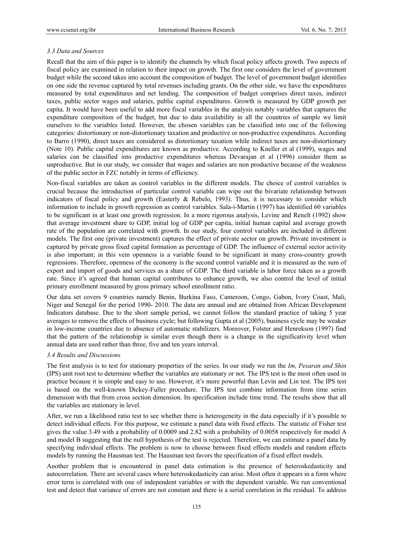# *3.3 Data and Sources*

Recall that the aim of this paper is to identify the channels by which fiscal policy affects growth. Two aspects of fiscal policy are examined in relation to their impact on growth. The first one considers the level of government budget while the second takes into account the composition of budget. The level of government budget identifies on one side the revenue captured by total revenues including grants. On the other side, we have the expenditures measured by total expenditures and net lending. The composition of budget comprises direct taxes, indirect taxes, public sector wages and salaries, public capital expenditures. Growth is measured by GDP growth per capita. It would have been useful to add more fiscal variables in the analysis notably variables that captures the expenditure composition of the budget; but due to data availability in all the countries of sample we limit ourselves to the variables listed. However, the chosen variables can be classified into one of the following categories: distortionary or non-distortionary taxation and productive or non-productive expenditures. According to Barro (1990), direct taxes are considered as distortionary taxation while indirect taxes are non-distortionary (Note 10). Public capital expenditures are known as productive. According to Kneller et al (1999), wages and salaries can be classified into productive expenditures whereas Devarajan et al (1996) consider them as unproductive. But in our study, we consider that wages and salaries are non productive because of the weakness of the public sector in FZC notably in terms of efficiency.

Non-fiscal variables are taken as control variables in the different models. The choice of control variables is crucial because the introduction of particular control variable can wipe out the bivariate relationship between indicators of fiscal policy and growth (Easterly & Rebelo, 1993). Thus, it is necessary to consider which information to include in growth regression as control variables. Sala-i-Martin (1997) has identified 60 variables to be significant in at least one growth regression. In a more rigorous analysis, Levine and Renelt (1992) show that average investment share to GDP, initial log of GDP per capita, initial human capital and average growth rate of the population are correlated with growth. In our study, four control variables are included in different models. The first one (private investment) captures the effect of private sector on growth. Private investment is captured by private gross fixed capital formation as percentage of GDP. The influence of external sector activity is also important; in this vein openness is a variable found to be significant in many cross-country growth regressions. Therefore, openness of the economy is the second control variable and it is measured as the sum of export and import of goods and services as a share of GDP. The third variable is labor force taken as a growth rate. Since it's agreed that human capital contributes to enhance growth, we also control the level of initial primary enrollment measured by gross primary school enrollment ratio.

Our data set covers 9 countries namely Benin, Burkina Faso, Cameroon, Congo, Gabon, Ivory Coast, Mali, Niger and Senegal for the period 1990- 2010. The data are annual and are obtained from African Development Indicators database. Due to the short sample period, we cannot follow the standard practice of taking 5 year averages to remove the effects of business cycle; but following Gupta et al (2005), business cycle may be weaker in low-income countries due to absence of automatic stabilizers. Moreover, Folster and Henrekson (1997) find that the pattern of the relationship is similar even though there is a change in the significativity level when annual data are used rather than three, five and ten years interval.

# *3.4 Results and Discussions*

The first analysis is to test for stationary properties of the series. In our study we run the *Im, Pesaran and Shin* (IPS) unit root test to determine whether the variables are stationary or not. The IPS test is the most often used in practice because it is simple and easy to use. However, it's more powerful than Levin and Lin test. The IPS test is based on the well-known Dickey-Fuller procedure. The IPS test combine information from time series dimension with that from cross section dimension. Its specification include time trend. The results show that all the variables are stationary in level.

After, we run a likelihood ratio test to see whether there is heterogeneity in the data especially if it's possible to detect individual effects. For this purpose, we estimate a panel data with fixed effects. The statistic of Fisher test gives the value 3.49 with a probability of 0.0009 and 2.82 with a probability of 0.0058 respectively for model A and model B suggesting that the null hypothesis of the test is rejected. Therefore, we can estimate a panel data by specifying individual effects. The problem is now to choose between fixed effects models and random effects models by running the Hausman test. The Hausman test favors the specification of a fixed effect models.

Another problem that is encountered in panel data estimation is the presence of heteroskedasticity and autocorrelation. There are several cases where heteroskedasticity can arise. Most often it appears in a form where error term is correlated with one of independent variables or with the dependent variable. We run conventional test and detect that variance of errors are not constant and there is a serial correlation in the residual. To address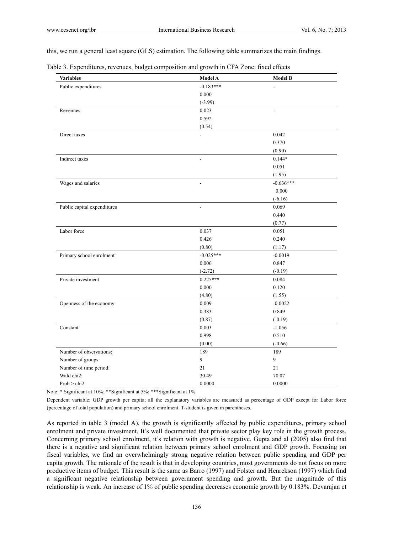this, we run a general least square (GLS) estimation. The following table summarizes the main findings.

Table 3. Expenditures, revenues, budget composition and growth in CFA Zone: fixed effects

| <b>Variables</b>            | <b>Model A</b>           | <b>Model B</b> |
|-----------------------------|--------------------------|----------------|
| Public expenditures         | $-0.183***$              |                |
|                             | 0.000                    |                |
|                             | $(-3.99)$                |                |
| Revenues                    | 0.023                    | $\overline{a}$ |
|                             | 0.592                    |                |
|                             | (0.54)                   |                |
| Direct taxes                | $\overline{a}$           | 0.042          |
|                             |                          | 0.370          |
|                             |                          | (0.90)         |
| Indirect taxes              | $\overline{a}$           | $0.144*$       |
|                             |                          | 0.051          |
|                             |                          | (1.95)         |
| Wages and salaries          | $\overline{\phantom{a}}$ | $-0.636***$    |
|                             |                          | 0.000          |
|                             |                          | $(-6.16)$      |
| Public capital expenditures |                          | 0.069          |
|                             |                          | 0.440          |
|                             |                          | (0.77)         |
| Labor force                 | 0.037                    | 0.051          |
|                             | 0.426                    | 0.240          |
|                             | (0.80)                   | (1.17)         |
| Primary school enrolment    | $-0.025***$              | $-0.0019$      |
|                             | 0.006                    | 0.847          |
|                             | $(-2.72)$                | $(-0.19)$      |
| Private investment          | $0.225***$               | 0.084          |
|                             | 0.000                    | 0.120          |
|                             | (4.80)                   | (1.55)         |
| Openness of the economy     | 0.009                    | $-0.0022$      |
|                             | 0.383                    | 0.849          |
|                             | (0.87)                   | $(-0.19)$      |
| Constant                    | 0.003                    | $-1.056$       |
|                             | 0.998                    | 0.510          |
|                             | (0.00)                   | $(-0.66)$      |
| Number of observations:     | 189                      | 189            |
| Number of groups:           | 9                        | 9              |
| Number of time period:      | 21                       | 21             |
| Wald chi <sub>2</sub> :     | 30.49                    | 70.07          |
| $Prob > chi2$ :             | 0.0000                   | 0.0000         |

Note: \* Significant at 10%; \*\*Significant at 5%; \*\*\*Significant at 1%.

Dependent variable: GDP growth per capita; all the explanatory variables are measured as percentage of GDP except for Labor force (percentage of total population) and primary school enrolment. T-student is given in parentheses.

As reported in table 3 (model A), the growth is significantly affected by public expenditures, primary school enrolment and private investment. It's well documented that private sector play key role in the growth process. Concerning primary school enrolment, it's relation with growth is negative. Gupta and al (2005) also find that there is a negative and significant relation between primary school enrolment and GDP growth. Focusing on fiscal variables, we find an overwhelmingly strong negative relation between public spending and GDP per capita growth. The rationale of the result is that in developing countries, most governments do not focus on more productive items of budget. This result is the same as Barro (1997) and Folster and Henrekson (1997) which find a significant negative relationship between government spending and growth. But the magnitude of this relationship is weak. An increase of 1% of public spending decreases economic growth by 0.183%. Devarajan et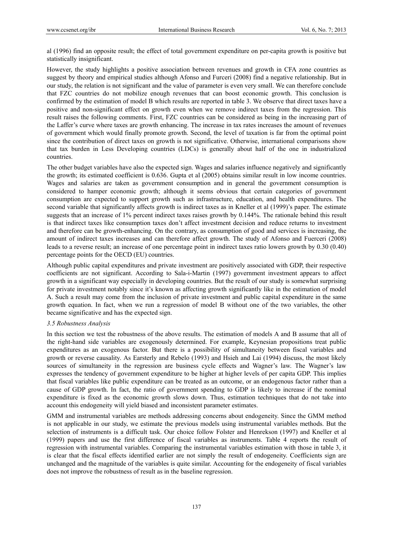al (1996) find an opposite result; the effect of total government expenditure on per-capita growth is positive but statistically insignificant.

However, the study highlights a positive association between revenues and growth in CFA zone countries as suggest by theory and empirical studies although Afonso and Furceri (2008) find a negative relationship. But in our study, the relation is not significant and the value of parameter is even very small. We can therefore conclude that FZC countries do not mobilize enough revenues that can boost economic growth. This conclusion is confirmed by the estimation of model B which results are reported in table 3. We observe that direct taxes have a positive and non-significant effect on growth even when we remove indirect taxes from the regression. This result raises the following comments. First, FZC countries can be considered as being in the increasing part of the Laffer's curve where taxes are growth enhancing. The increase in tax rates increases the amount of revenues of government which would finally promote growth. Second, the level of taxation is far from the optimal point since the contribution of direct taxes on growth is not significative. Otherwise, international comparisons show that tax burden in Less Developing countries (LDCs) is generally about half of the one in industrialized countries.

The other budget variables have also the expected sign. Wages and salaries influence negatively and significantly the growth; its estimated coefficient is 0.636. Gupta et al (2005) obtains similar result in low income countries. Wages and salaries are taken as government consumption and in general the government consumption is considered to hamper economic growth; although it seems obvious that certain categories of government consumption are expected to support growth such as infrastructure, education, and health expenditures. The second variable that significantly affects growth is indirect taxes as in Kneller et al (1999)'s paper. The estimate suggests that an increase of 1% percent indirect taxes raises growth by 0.144%. The rationale behind this result is that indirect taxes like consumption taxes don't affect investment decision and reduce returns to investment and therefore can be growth-enhancing. On the contrary, as consumption of good and services is increasing, the amount of indirect taxes increases and can therefore affect growth. The study of Afonso and Fuerceri (2008) leads to a reverse result; an increase of one percentage point in indirect taxes ratio lowers growth by 0.30 (0.40) percentage points for the OECD (EU) countries.

Although public capital expenditures and private investment are positively associated with GDP, their respective coefficients are not significant. According to Sala-i-Martin (1997) government investment appears to affect growth in a significant way especially in developing countries. But the result of our study is somewhat surprising for private investment notably since it's known as affecting growth significantly like in the estimation of model A. Such a result may come from the inclusion of private investment and public capital expenditure in the same growth equation. In fact, when we run a regression of model B without one of the two variables, the other became significative and has the expected sign.

# *3.5 Robustness Analysis*

In this section we test the robustness of the above results. The estimation of models A and B assume that all of the right-hand side variables are exogenously determined. For example, Keynesian propositions treat public expenditures as an exogenous factor. But there is a possibility of simultaneity between fiscal variables and growth or reverse causality. As Earsterly and Rebelo (1993) and Hsieh and Lai (1994) discuss, the most likely sources of simultaneity in the regression are business cycle effects and Wagner's law. The Wagner's law expresses the tendency of government expenditure to be higher at higher levels of per capita GDP. This implies that fiscal variables like public expenditure can be treated as an outcome, or an endogenous factor rather than a cause of GDP growth. In fact, the ratio of government spending to GDP is likely to increase if the nominal expenditure is fixed as the economic growth slows down. Thus, estimation techniques that do not take into account this endogeneity will yield biased and inconsistent parameter estimates.

GMM and instrumental variables are methods addressing concerns about endogeneity. Since the GMM method is not applicable in our study, we estimate the previous models using instrumental variables methods. But the selection of instruments is a difficult task. Our choice follow Folster and Henrekson (1997) and Kneller et al (1999) papers and use the first difference of fiscal variables as instruments. Table 4 reports the result of regression with instrumental variables. Comparing the instrumental variables estimation with those in table 3, it is clear that the fiscal effects identified earlier are not simply the result of endogeneity. Coefficients sign are unchanged and the magnitude of the variables is quite similar. Accounting for the endogeneity of fiscal variables does not improve the robustness of result as in the baseline regression.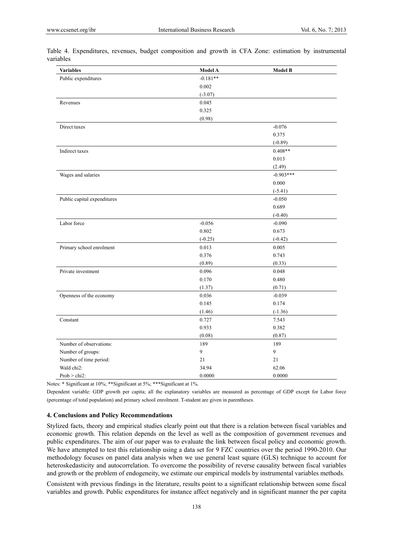| <b>Variables</b>            | <b>Model A</b> | <b>Model B</b> |
|-----------------------------|----------------|----------------|
| Public expenditures         | $-0.181**$     |                |
|                             | $0.002\,$      |                |
|                             | $(-3.07)$      |                |
| Revenues                    | 0.045          |                |
|                             | 0.325          |                |
|                             | (0.98)         |                |
| Direct taxes                |                | $-0.076$       |
|                             |                | 0.375          |
|                             |                | $(-0.89)$      |
| Indirect taxes              |                | $0.408**$      |
|                             |                | 0.013          |
|                             |                | (2.49)         |
| Wages and salaries          |                | $-0.903***$    |
|                             |                | 0.000          |
|                             |                | $(-5.41)$      |
| Public capital expenditures |                | $-0.050$       |
|                             |                | 0.689          |
|                             |                | $(-0.40)$      |
| Labor force                 | $-0.056$       | $-0.090$       |
|                             | 0.802          | 0.673          |
|                             | $(-0.25)$      | $(-0.42)$      |
| Primary school enrolment    | 0.013          | 0.005          |
|                             | 0.376          | 0.743          |
|                             | (0.89)         | (0.33)         |
| Private investment          | 0.096          | 0.048          |
|                             | 0.170          | 0.480          |
|                             | (1.37)         | (0.71)         |
| Openness of the economy     | 0.036          | $-0.039$       |
|                             | 0.145          | 0.174          |
|                             | (1.46)         | $(-1.36)$      |
| Constant                    | 0.727          | 7.543          |
|                             | 0.933          | 0.382          |
|                             | (0.08)         | (0.87)         |
| Number of observations:     | 189            | 189            |
| Number of groups:           | 9              | $\mathbf{9}$   |
| Number of time period:      | 21             | 21             |
| Wald chi <sub>2</sub> :     | 34.94          | 62.06          |
| $Prob > chi2$ :             | 0.0000         | 0.0000         |

Table 4. Expenditures, revenues, budget composition and growth in CFA Zone: estimation by instrumental variables

Notes: \* Significant at 10%; \*\*Significant at 5%; \*\*\*Significant at 1%.

Dependent variable: GDP growth per capita; all the explanatory variables are measured as percentage of GDP except for Labor force (percentage of total population) and primary school enrolment. T-student are given in parentheses.

## **4. Conclusions and Policy Recommendations**

Stylized facts, theory and empirical studies clearly point out that there is a relation between fiscal variables and economic growth. This relation depends on the level as well as the composition of government revenues and public expenditures. The aim of our paper was to evaluate the link between fiscal policy and economic growth. We have attempted to test this relationship using a data set for 9 FZC countries over the period 1990-2010. Our methodology focuses on panel data analysis when we use general least square (GLS) technique to account for heteroskedasticity and autocorrelation. To overcome the possibility of reverse causality between fiscal variables and growth or the problem of endogeneity, we estimate our empirical models by instrumental variables methods.

Consistent with previous findings in the literature, results point to a significant relationship between some fiscal variables and growth. Public expenditures for instance affect negatively and in significant manner the per capita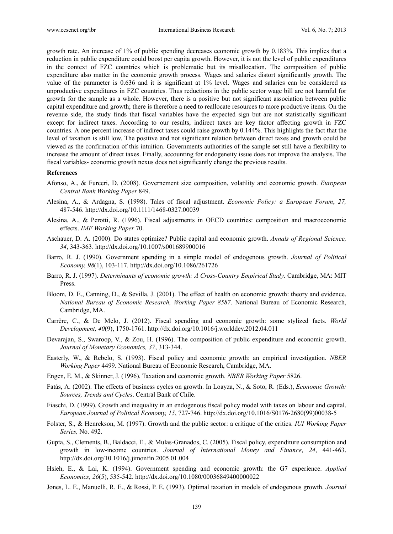growth rate. An increase of 1% of public spending decreases economic growth by 0.183%. This implies that a reduction in public expenditure could boost per capita growth. However, it is not the level of public expenditures in the context of FZC countries which is problematic but its misallocation. The composition of public expenditure also matter in the economic growth process. Wages and salaries distort significantly growth. The value of the parameter is 0.636 and it is significant at 1% level. Wages and salaries can be considered as unproductive expenditures in FZC countries. Thus reductions in the public sector wage bill are not harmful for growth for the sample as a whole. However, there is a positive but not significant association between public capital expenditure and growth; there is therefore a need to reallocate resources to more productive items. On the revenue side, the study finds that fiscal variables have the expected sign but are not statistically significant except for indirect taxes. According to our results, indirect taxes are key factor affecting growth in FZC countries. A one percent increase of indirect taxes could raise growth by 0.144%. This highlights the fact that the level of taxation is still low. The positive and not significant relation between direct taxes and growth could be viewed as the confirmation of this intuition. Governments authorities of the sample set still have a flexibility to increase the amount of direct taxes. Finally, accounting for endogeneity issue does not improve the analysis. The fiscal variables- economic growth nexus does not significantly change the previous results.

#### **References**

- Afonso, A., & Furceri, D. (2008). Governement size composition, volatility and economic growth. *European Central Bank Working Paper* 849.
- Alesina, A., & Ardagna, S. (1998). Tales of fiscal adjustment. *Economic Policy: a European Forum*, *27,* 487-546. http://dx.doi.org/10.1111/1468-0327.00039
- Alesina, A., & Perotti, R. (1996). Fiscal adjustments in OECD countries: composition and macroeconomic effects. *IMF Working Paper* 70.
- Aschauer, D. A. (2000). Do states optimize? Public capital and economic growth. *Annals of Regional Science, 34*, 343-363. http://dx.doi.org/10.1007/s001689900016
- Barro, R. J. (1990). Government spending in a simple model of endogenous growth. *Journal of Political Economy, 98*(1), 103-117. http://dx.doi.org/10.1086/261726
- Barro, R. J. (1997). *Determinants of economic growth: A Cross-Country Empirical Study*. Cambridge, MA: MIT Press.
- Bloom, D. E., Canning, D., & Sevilla, J. (2001). The effect of health on economic growth: theory and evidence. *National Bureau of Economic Research, Working Paper 8587*. National Bureau of Economic Research, Cambridge, MA.
- Carrère, C., & De Melo, J. (2012). Fiscal spending and economic growth: some stylized facts. *World Development, 40*(9), 1750-1761. http://dx.doi.org/10.1016/j.worlddev.2012.04.011
- Devarajan, S., Swaroop, V., & Zou, H. (1996). The composition of public expenditure and economic growth. *Journal of Monetary Economics, 37*, 313-344.
- Easterly, W., & Rebelo, S. (1993). Fiscal policy and economic growth: an empirical investigation. *NBER Working Paper* 4499. National Bureau of Economic Research, Cambridge, MA.
- Engen, E. M., & Skinner, J. (1996). Taxation and economic growth. *NBER Working Paper* 5826.
- Fatás, A. (2002). The effects of business cycles on growth. In Loayza, N., & Soto, R. (Eds.), *Economic Growth: Sources, Trends and Cycles*. Central Bank of Chile.
- Fiaschi, D. (1999). Growth and inequality in an endogenous fiscal policy model with taxes on labour and capital. *European Journal of Political Economy, 15*, 727-746. http://dx.doi.org/10.1016/S0176-2680(99)00038-5
- Folster, S., & Henrekson, M. (1997). Growth and the public sector: a critique of the critics. *IUI Working Paper Series,* No. 492.
- Gupta, S., Clements, B., Baldacci, E., & Mulas-Granados, C. (2005). Fiscal policy, expenditure consumption and growth in low-income countries. *Journal of International Money and Finance*, *24*, 441-463. http://dx.doi.org/10.1016/j.jimonfin.2005.01.004
- Hsieh, E., & Lai, K. (1994). Government spending and economic growth: the G7 experience. *Applied Economics, 26*(5), 535-542. http://dx.doi.org/10.1080/00036849400000022
- Jones, L. E., Manuelli, R. E., & Rossi, P. E. (1993). Optimal taxation in models of endogenous growth. *Journal*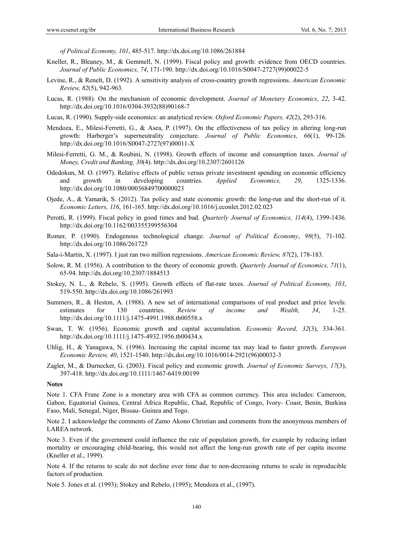*of Political Economy, 101*, 485-517. http://dx.doi.org/10.1086/261884

- Kneller, R., Bleaney, M., & Gemmell, N. (1999). Fiscal policy and growth: evidence from OECD countries. *Journal of Public Economics, 74*, 171-190. http://dx.doi.org/10.1016/S0047-2727(99)00022-5
- Levine, R., & Renelt, D. (1992). A sensitivity analysis of cross-country growth regressions. *American Economic Review, 82*(5), 942-963.
- Lucas, R. (1988). On the mechanism of economic development. *Journal of Monetary Economics*, *22*, 3-42. http://dx.doi.org/10.1016/0304-3932(88)90168-7
- Lucas, R. (1990). Supply-side economics: an analytical review. *Oxford Economic Papers, 42*(2), 293-316.
- Mendoza, E., Milesi-Ferretti, G., & Asea, P. (1997). On the effectiveness of tax policy in altering long-run growth: Harberger's superneutrality conjecture. *Journal of Public Economics, 66*(1), 99-126. http://dx.doi.org/10.1016/S0047-2727(97)00011-X
- Milesi-Ferretti, G. M., & Roubini, N. (1998). Growth effects of income and consumption taxes. *Journal of Money, Credit and Banking, 30*(4). http://dx.doi.org/10.2307/2601126
- Odedokun, M. O. (1997). Relative effects of public versus private investment spending on economic efficiency and growth in developing countries. *Applied Economics, 29*, 1325-1336. http://dx.doi.org/10.1080/00036849700000023
- Ojede, A., & Yamarik, S. (2012). Tax policy and state economic growth: the long-run and the short-run of it. *Economic Letters, 116*, 161-165. http://dx.doi.org/10.1016/j.econlet.2012.02.023
- Perotti, R. (1999). Fiscal policy in good times and bad. *Quarterly Journal of Economics, 114*(4), 1399-1436. http://dx.doi.org/10.1162/003355399556304
- Romer, P. (1990). Endogenous technological change. *Journal of Political Economy*, *98*(5), 71-102. http://dx.doi.org/10.1086/261725
- Sala-i-Martin, X. (1997). I just ran two million regressions. *American Economic Review, 87*(2), 178-183.
- Solow, R. M. (1956). A contribution to the theory of economic growth. *Quarterly Journal of Economics, 71*(1), 65-94. http://dx.doi.org/10.2307/1884513
- Stokey, N. L., & Rebelo, S. (1995). Growth effects of flat-rate taxes. *Journal of Political Economy, 103*, 519-550. http://dx.doi.org/10.1086/261993
- Summers, R., & Heston, A. (1988). A new set of international comparisons of real product and price levels: estimates for 130 countries. *Review of income and Wealth, 34*, 1-25. http://dx.doi.org/10.1111/j.1475-4991.1988.tb00558.x
- Swan, T. W. (1956). Economic growth and capital accumulation. *Economic Record, 32*(3), 334-361. http://dx.doi.org/10.1111/j.1475-4932.1956.tb00434.x
- Uhlig, H., & Yanagawa, N. (1996). Increasing the capital income tax may lead to faster growth. *European Economic Review, 40*, 1521-1540. http://dx.doi.org/10.1016/0014-2921(96)00032-3
- Zagler, M., & Durnecker, G. (2003). Fiscal policy and economic growth. *Journal of Economic Surveys, 17*(3), 397-418. http://dx.doi.org/10.1111/1467-6419.00199

## **Notes**

Note 1. CFA Franc Zone is a monetary area with CFA as common currency. This area includes: Cameroon, Gabon, Equatorial Guinea, Central Africa Republic, Chad, Republic of Congo, Ivory- Coast, Benin, Burkina Faso, Mali, Senegal, Niger, Bissau- Guinea and Togo.

Note 2. I acknowledge the comments of Zamo Akono Christian and comments from the anonymous members of LAREA network.

Note 3. Even if the government could influence the rate of population growth, for example by reducing infant mortality or encouraging child-bearing, this would not affect the long-run growth rate of per capita income (Kneller et al., 1999).

Note 4. If the returns to scale do not decline over time due to non-decreasing returns to scale in reproducible factors of production.

Note 5. Jones et al. (1993); Stokey and Rebelo, (1995); Mendoza et al., (1997).